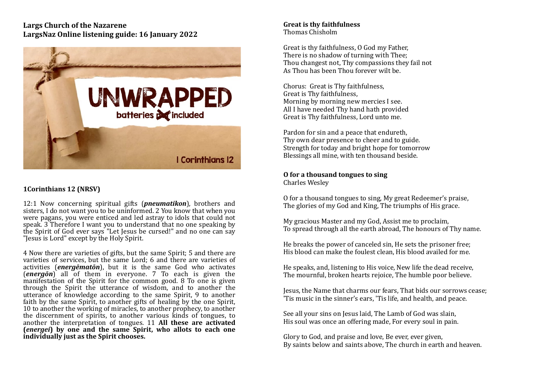## **Largs Church of the Nazarene LargsNaz Online listening guide: 16 January 2022**



## **1Corinthians 12 (NRSV)**

12:1 Now concerning spiritual gifts (*pneumatikon*), brothers and sisters, I do not want you to be uninformed. 2 You know that when you were pagans, you were enticed and led astray to idols that could not speak.  $3$  Therefore I want you to understand that no one speaking by the Spirit of God ever says "Let Jesus be cursed!" and no one can say "Iesus is Lord" except by the Holy Spirit.

4 Now there are varieties of gifts, but the same Spirit; 5 and there are varieties of services, but the same Lord; 6 and there are varieties of activities (*energematon*), but it is the same God who activates *(energōn***)** all of them in everyone. 7 To each is given the  $m$ anifestation of the Spirit for the common good. 8 To one is given through the Spirit the utterance of wisdom, and to another the utterance of knowledge according to the same Spirit, 9 to another faith by the same Spirit, to another gifts of healing by the one Spirit, 10 to another the working of miracles, to another prophecy, to another the discernment of spirits, to another various  $\overline{k}$  inds of tongues, to another the interpretation of tongues. 11 **All these are activated (***energei***)** by one and the same Spirit, who allots to each one individually just as the Spirit chooses.

## **Great is thy faithfulness** Thomas Chisholm

Great is thy faithfulness, O God my Father, There is no shadow of turning with Thee: Thou changest not. Thy compassions they fail not As Thou has been Thou forever wilt be.

Chorus: Great is Thy faithfulness. Great is Thy faithfulness. Morning by morning new mercies I see. All I have needed Thy hand hath provided Great is Thy faithfulness, Lord unto me.

Pardon for sin and a peace that endureth, Thy own dear presence to cheer and to guide. Strength for today and bright hope for tomorrow Blessings all mine, with ten thousand beside.

## **O** for a thousand tongues to sing

Charles Wesley 

O for a thousand tongues to sing, My great Redeemer's praise, The glories of my God and King. The triumphs of His grace.

My gracious Master and my God, Assist me to proclaim, To spread through all the earth abroad, The honours of Thy name.

He breaks the power of canceled sin, He sets the prisoner free; His blood can make the foulest clean. His blood availed for me.

He speaks, and, listening to His voice, New life the dead receive, The mournful, broken hearts rejoice. The humble poor believe.

Jesus, the Name that charms our fears, That bids our sorrows cease; 'Tis music in the sinner's ears, 'Tis life, and health, and peace.

See all your sins on Jesus laid, The Lamb of God was slain, His soul was once an offering made. For every soul in pain.

Glory to God, and praise and love, Be ever, ever given, By saints below and saints above, The church in earth and heaven.